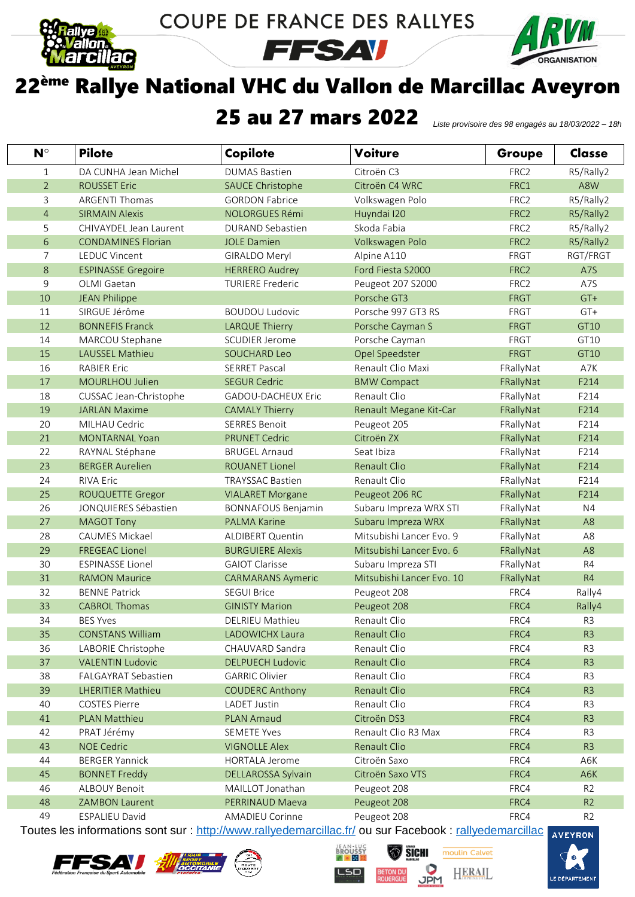

COUPE DE FRANCE DES RALLYES

**FFSAV** 



## ème Rallye National VHC du Vallon de Marcillac Aveyron

## 25 au 27 mars 2022 *Liste provisoire des 98 engagés au 18/03/2022 – 18h*

| $N^{\circ}$    | <b>Pilote</b>             | Copilote                  | <b>Voiture</b>            | Groupe           | Classe         |
|----------------|---------------------------|---------------------------|---------------------------|------------------|----------------|
| 1              | DA CUNHA Jean Michel      | <b>DUMAS Bastien</b>      | Citroën C3                | FRC <sub>2</sub> | R5/Rally2      |
| $\overline{2}$ | <b>ROUSSET Eric</b>       | <b>SAUCE Christophe</b>   | Citroën C4 WRC            | FRC1             | A8W            |
| 3              | <b>ARGENTI Thomas</b>     | <b>GORDON Fabrice</b>     | Volkswagen Polo           | FRC2             | R5/Rally2      |
| $\overline{4}$ | <b>SIRMAIN Alexis</b>     | <b>NOLORGUES Rémi</b>     | Huyndai I20               | FRC2             | R5/Rally2      |
| 5              | CHIVAYDEL Jean Laurent    | <b>DURAND Sebastien</b>   | Skoda Fabia               | FRC2             | R5/Rally2      |
| 6              | <b>CONDAMINES Florian</b> | <b>JOLE Damien</b>        | Volkswagen Polo           | FRC2             | R5/Rally2      |
| 7              | <b>LEDUC Vincent</b>      | <b>GIRALDO Meryl</b>      | Alpine A110               | FRGT             | RGT/FRGT       |
| 8              | <b>ESPINASSE Gregoire</b> | <b>HERRERO Audrey</b>     | Ford Fiesta S2000         | FRC2             | A7S            |
| 9              | OLMI Gaetan               | <b>TURIERE Frederic</b>   | Peugeot 207 S2000         | FRC <sub>2</sub> | A7S            |
| 10             | <b>JEAN Philippe</b>      |                           | Porsche GT3               | <b>FRGT</b>      | $GT+$          |
| 11             | SIRGUE Jérôme             | <b>BOUDOU Ludovic</b>     | Porsche 997 GT3 RS        | FRGT             | GT+            |
| 12             | <b>BONNEFIS Franck</b>    | <b>LARQUE Thierry</b>     | Porsche Cayman S          | <b>FRGT</b>      | GT10           |
| 14             | MARCOU Stephane           | <b>SCUDIER Jerome</b>     | Porsche Cayman            | <b>FRGT</b>      | GT10           |
| 15             | LAUSSEL Mathieu           | <b>SOUCHARD Leo</b>       | Opel Speedster            | <b>FRGT</b>      | GT10           |
| 16             | <b>RABIER Eric</b>        | <b>SERRET Pascal</b>      | Renault Clio Maxi         | FRallyNat        | A7K            |
| 17             | MOURLHOU Julien           | <b>SEGUR Cedric</b>       | <b>BMW Compact</b>        | FRallyNat        | F214           |
| 18             | CUSSAC Jean-Christophe    | <b>GADOU-DACHEUX Eric</b> | Renault Clio              | FRallyNat        | F214           |
| 19             | <b>JARLAN Maxime</b>      | <b>CAMALY Thierry</b>     | Renault Megane Kit-Car    | FRallyNat        | F214           |
| 20             | MILHAU Cedric             | <b>SERRES Benoit</b>      | Peugeot 205               | FRallyNat        | F214           |
| 21             | <b>MONTARNAL Yoan</b>     | <b>PRUNET Cedric</b>      | Citroën ZX                | FRallyNat        | F214           |
| 22             | RAYNAL Stéphane           | <b>BRUGEL Arnaud</b>      | Seat Ibiza                | FRallyNat        | F214           |
| 23             | <b>BERGER Aurelien</b>    | <b>ROUANET Lionel</b>     | Renault Clio              | FRallyNat        | F214           |
| 24             | <b>RIVA Eric</b>          | <b>TRAYSSAC Bastien</b>   | Renault Clio              | FRallyNat        | F214           |
| 25             | ROUQUETTE Gregor          | <b>VIALARET Morgane</b>   | Peugeot 206 RC            | FRallyNat        | F214           |
| 26             | JONQUIERES Sébastien      | <b>BONNAFOUS Benjamin</b> | Subaru Impreza WRX STI    | FRallyNat        | N <sub>4</sub> |
| 27             | <b>MAGOT Tony</b>         | <b>PALMA Karine</b>       | Subaru Impreza WRX        | FRallyNat        | A <sub>8</sub> |
| 28             | <b>CAUMES Mickael</b>     | <b>ALDIBERT Quentin</b>   | Mitsubishi Lancer Evo. 9  | FRallyNat        | A <sub>8</sub> |
| 29             | <b>FREGEAC Lionel</b>     | <b>BURGUIERE Alexis</b>   | Mitsubishi Lancer Evo. 6  | FRallyNat        | A <sub>8</sub> |
| 30             | <b>ESPINASSE Lionel</b>   | <b>GAIOT Clarisse</b>     | Subaru Impreza STI        | FRallyNat        | R <sub>4</sub> |
| 31             | <b>RAMON Maurice</b>      | <b>CARMARANS Aymeric</b>  | Mitsubishi Lancer Evo. 10 | FRallyNat        | R4             |
| 32             | <b>BENNE Patrick</b>      | <b>SEGUI Brice</b>        | Peugeot 208               | FRC4             | Rally4         |
| 33             | <b>CABROL Thomas</b>      | <b>GINISTY Marion</b>     | Peugeot 208               | FRC4             | Rally4         |
| 34             | <b>BES Yves</b>           | <b>DELRIEU Mathieu</b>    | Renault Clio              | FRC4             | R <sub>3</sub> |
| 35             | <b>CONSTANS William</b>   | <b>LADOWICHX Laura</b>    | Renault Clio              | FRC4             | R <sub>3</sub> |
| 36             | LABORIE Christophe        | CHAUVARD Sandra           | Renault Clio              | FRC4             | R <sub>3</sub> |
| 37             | <b>VALENTIN Ludovic</b>   | <b>DELPUECH Ludovic</b>   | Renault Clio              | FRC4             | R <sub>3</sub> |
| 38             | FALGAYRAT Sebastien       | <b>GARRIC Olivier</b>     | Renault Clio              | FRC4             | R <sub>3</sub> |
| 39             | <b>LHERITIER Mathieu</b>  | <b>COUDERC Anthony</b>    | Renault Clio              | FRC4             | R <sub>3</sub> |
| 40             | <b>COSTES Pierre</b>      | <b>LADET Justin</b>       | Renault Clio              | FRC4             | R <sub>3</sub> |
| 41             | PLAN Matthieu             | <b>PLAN Arnaud</b>        | Citroën DS3               | FRC4             | R <sub>3</sub> |
| 42             | PRAT Jérémy               | <b>SEMETE Yves</b>        | Renault Clio R3 Max       | FRC4             | R <sub>3</sub> |
| 43             | <b>NOE Cedric</b>         | <b>VIGNOLLE Alex</b>      | Renault Clio              | FRC4             | R <sub>3</sub> |
| 44             | <b>BERGER Yannick</b>     | <b>HORTALA Jerome</b>     | Citroën Saxo              | FRC4             | A6K            |
| 45             | <b>BONNET Freddy</b>      | DELLAROSSA Sylvain        | Citroën Saxo VTS          | FRC4             | A6K            |
| 46             | ALBOUY Benoit             | MAILLOT Jonathan          | Peugeot 208               | FRC4             | R <sub>2</sub> |
| 48             | <b>ZAMBON Laurent</b>     | PERRINAUD Maeva           | Peugeot 208               | FRC4             | R2             |
| 49             | <b>ESPALIEU David</b>     | <b>AMADIEU Corinne</b>    | Peugeot 208               | FRC4             | R <sub>2</sub> |

Toutes les informations sont sur :<http://www.rallyedemarcillac.fr/> ou sur Facebook : [rallyedemarcillac](https://www.facebook.com/rallyedemarcillac)